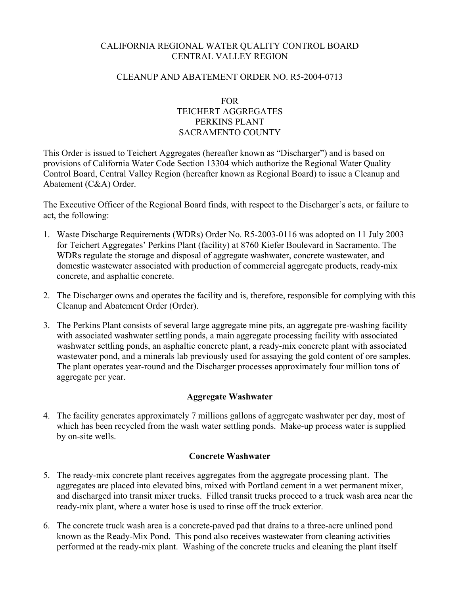# CALIFORNIA REGIONAL WATER QUALITY CONTROL BOARD CENTRAL VALLEY REGION

# CLEANUP AND ABATEMENT ORDER NO. R5-2004-0713

# FOR TEICHERT AGGREGATES PERKINS PLANT SACRAMENTO COUNTY

This Order is issued to Teichert Aggregates (hereafter known as "Discharger") and is based on provisions of California Water Code Section 13304 which authorize the Regional Water Quality Control Board, Central Valley Region (hereafter known as Regional Board) to issue a Cleanup and Abatement (C&A) Order.

The Executive Officer of the Regional Board finds, with respect to the Discharger's acts, or failure to act, the following:

- 1. Waste Discharge Requirements (WDRs) Order No. R5-2003-0116 was adopted on 11 July 2003 for Teichert Aggregates' Perkins Plant (facility) at 8760 Kiefer Boulevard in Sacramento. The WDRs regulate the storage and disposal of aggregate washwater, concrete wastewater, and domestic wastewater associated with production of commercial aggregate products, ready-mix concrete, and asphaltic concrete.
- 2. The Discharger owns and operates the facility and is, therefore, responsible for complying with this Cleanup and Abatement Order (Order).
- 3. The Perkins Plant consists of several large aggregate mine pits, an aggregate pre-washing facility with associated washwater settling ponds, a main aggregate processing facility with associated washwater settling ponds, an asphaltic concrete plant, a ready-mix concrete plant with associated wastewater pond, and a minerals lab previously used for assaying the gold content of ore samples. The plant operates year-round and the Discharger processes approximately four million tons of aggregate per year.

## **Aggregate Washwater**

4. The facility generates approximately 7 millions gallons of aggregate washwater per day, most of which has been recycled from the wash water settling ponds. Make-up process water is supplied by on-site wells.

## **Concrete Washwater**

- 5. The ready-mix concrete plant receives aggregates from the aggregate processing plant. The aggregates are placed into elevated bins, mixed with Portland cement in a wet permanent mixer, and discharged into transit mixer trucks. Filled transit trucks proceed to a truck wash area near the ready-mix plant, where a water hose is used to rinse off the truck exterior.
- 6. The concrete truck wash area is a concrete-paved pad that drains to a three-acre unlined pond known as the Ready-Mix Pond. This pond also receives wastewater from cleaning activities performed at the ready-mix plant. Washing of the concrete trucks and cleaning the plant itself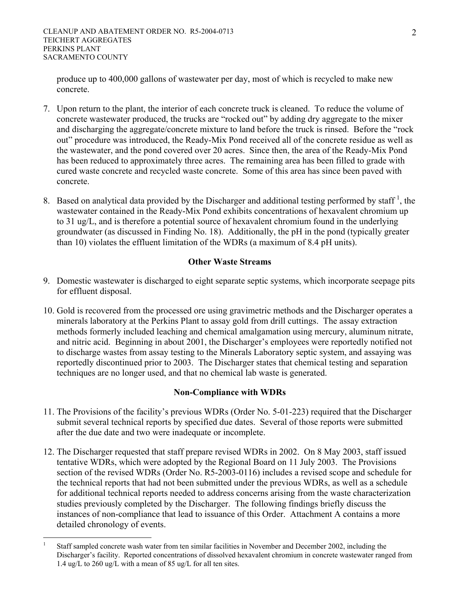produce up to 400,000 gallons of wastewater per day, most of which is recycled to make new concrete.

- 7. Upon return to the plant, the interior of each concrete truck is cleaned. To reduce the volume of concrete wastewater produced, the trucks are "rocked out" by adding dry aggregate to the mixer and discharging the aggregate/concrete mixture to land before the truck is rinsed. Before the "rock out" procedure was introduced, the Ready-Mix Pond received all of the concrete residue as well as the wastewater, and the pond covered over 20 acres. Since then, the area of the Ready-Mix Pond has been reduced to approximately three acres. The remaining area has been filled to grade with cured waste concrete and recycled waste concrete. Some of this area has since been paved with concrete.
- 8. Based on analytical data provided by the Discharger and additional testing performed by staff<sup>1</sup>, the wastewater contained in the Ready-Mix Pond exhibits concentrations of hexavalent chromium up to 31 ug/L, and is therefore a potential source of hexavalent chromium found in the underlying groundwater (as discussed in Finding No. 18). Additionally, the pH in the pond (typically greater than 10) violates the effluent limitation of the WDRs (a maximum of 8.4 pH units).

# **Other Waste Streams**

- 9. Domestic wastewater is discharged to eight separate septic systems, which incorporate seepage pits for effluent disposal.
- 10. Gold is recovered from the processed ore using gravimetric methods and the Discharger operates a minerals laboratory at the Perkins Plant to assay gold from drill cuttings. The assay extraction methods formerly included leaching and chemical amalgamation using mercury, aluminum nitrate, and nitric acid. Beginning in about 2001, the Discharger's employees were reportedly notified not to discharge wastes from assay testing to the Minerals Laboratory septic system, and assaying was reportedly discontinued prior to 2003. The Discharger states that chemical testing and separation techniques are no longer used, and that no chemical lab waste is generated.

# **Non-Compliance with WDRs**

- 11. The Provisions of the facility's previous WDRs (Order No. 5-01-223) required that the Discharger submit several technical reports by specified due dates. Several of those reports were submitted after the due date and two were inadequate or incomplete.
- 12. The Discharger requested that staff prepare revised WDRs in 2002. On 8 May 2003, staff issued tentative WDRs, which were adopted by the Regional Board on 11 July 2003. The Provisions section of the revised WDRs (Order No. R5-2003-0116) includes a revised scope and schedule for the technical reports that had not been submitted under the previous WDRs, as well as a schedule for additional technical reports needed to address concerns arising from the waste characterization studies previously completed by the Discharger. The following findings briefly discuss the instances of non-compliance that lead to issuance of this Order. Attachment A contains a more detailed chronology of events.

 $\overline{a}$ 1 Staff sampled concrete wash water from ten similar facilities in November and December 2002, including the Discharger's facility. Reported concentrations of dissolved hexavalent chromium in concrete wastewater ranged from 1.4 ug/L to 260 ug/L with a mean of 85 ug/L for all ten sites.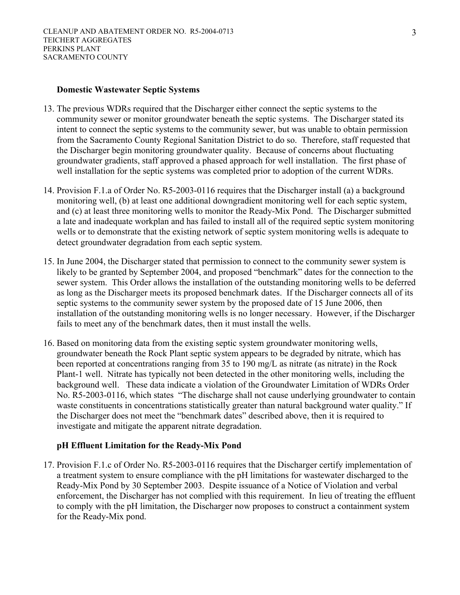#### **Domestic Wastewater Septic Systems**

- 13. The previous WDRs required that the Discharger either connect the septic systems to the community sewer or monitor groundwater beneath the septic systems. The Discharger stated its intent to connect the septic systems to the community sewer, but was unable to obtain permission from the Sacramento County Regional Sanitation District to do so. Therefore, staff requested that the Discharger begin monitoring groundwater quality. Because of concerns about fluctuating groundwater gradients, staff approved a phased approach for well installation. The first phase of well installation for the septic systems was completed prior to adoption of the current WDRs.
- 14. Provision F.1.a of Order No. R5-2003-0116 requires that the Discharger install (a) a background monitoring well, (b) at least one additional downgradient monitoring well for each septic system, and (c) at least three monitoring wells to monitor the Ready-Mix Pond. The Discharger submitted a late and inadequate workplan and has failed to install all of the required septic system monitoring wells or to demonstrate that the existing network of septic system monitoring wells is adequate to detect groundwater degradation from each septic system.
- 15. In June 2004, the Discharger stated that permission to connect to the community sewer system is likely to be granted by September 2004, and proposed "benchmark" dates for the connection to the sewer system. This Order allows the installation of the outstanding monitoring wells to be deferred as long as the Discharger meets its proposed benchmark dates. If the Discharger connects all of its septic systems to the community sewer system by the proposed date of 15 June 2006, then installation of the outstanding monitoring wells is no longer necessary. However, if the Discharger fails to meet any of the benchmark dates, then it must install the wells.
- 16. Based on monitoring data from the existing septic system groundwater monitoring wells, groundwater beneath the Rock Plant septic system appears to be degraded by nitrate, which has been reported at concentrations ranging from 35 to 190 mg/L as nitrate (as nitrate) in the Rock Plant-1 well. Nitrate has typically not been detected in the other monitoring wells, including the background well. These data indicate a violation of the Groundwater Limitation of WDRs Order No. R5-2003-0116, which states "The discharge shall not cause underlying groundwater to contain waste constituents in concentrations statistically greater than natural background water quality." If the Discharger does not meet the "benchmark dates" described above, then it is required to investigate and mitigate the apparent nitrate degradation.

## **pH Effluent Limitation for the Ready-Mix Pond**

17. Provision F.1.c of Order No. R5-2003-0116 requires that the Discharger certify implementation of a treatment system to ensure compliance with the pH limitations for wastewater discharged to the Ready-Mix Pond by 30 September 2003. Despite issuance of a Notice of Violation and verbal enforcement, the Discharger has not complied with this requirement. In lieu of treating the effluent to comply with the pH limitation, the Discharger now proposes to construct a containment system for the Ready-Mix pond.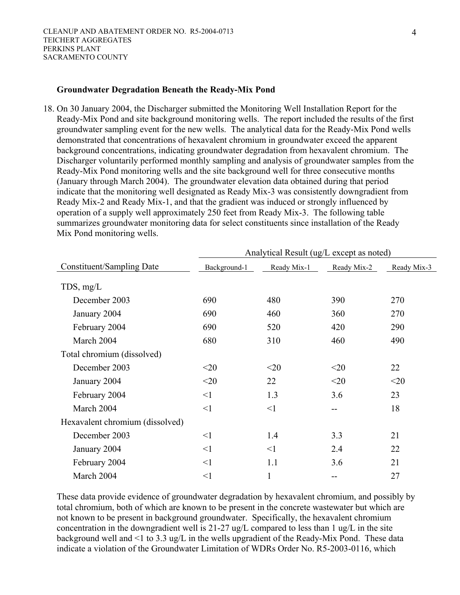#### **Groundwater Degradation Beneath the Ready-Mix Pond**

18. On 30 January 2004, the Discharger submitted the Monitoring Well Installation Report for the Ready-Mix Pond and site background monitoring wells. The report included the results of the first groundwater sampling event for the new wells. The analytical data for the Ready-Mix Pond wells demonstrated that concentrations of hexavalent chromium in groundwater exceed the apparent background concentrations, indicating groundwater degradation from hexavalent chromium. The Discharger voluntarily performed monthly sampling and analysis of groundwater samples from the Ready-Mix Pond monitoring wells and the site background well for three consecutive months (January through March 2004). The groundwater elevation data obtained during that period indicate that the monitoring well designated as Ready Mix-3 was consistently downgradient from Ready Mix-2 and Ready Mix-1, and that the gradient was induced or strongly influenced by operation of a supply well approximately 250 feet from Ready Mix-3. The following table summarizes groundwater monitoring data for select constituents since installation of the Ready Mix Pond monitoring wells.

|                                 | Analytical Result (ug/L except as noted) |             |                   |             |
|---------------------------------|------------------------------------------|-------------|-------------------|-------------|
| Constituent/Sampling Date       | Background-1                             | Ready Mix-1 | Ready Mix-2       | Ready Mix-3 |
| $TDS$ , mg/L                    |                                          |             |                   |             |
| December 2003                   | 690                                      | 480         | 390               | 270         |
| January 2004                    | 690                                      | 460         | 360               | 270         |
| February 2004                   | 690                                      | 520         | 420               | 290         |
| March 2004                      | 680                                      | 310         | 460               | 490         |
| Total chromium (dissolved)      |                                          |             |                   |             |
| December 2003                   | $<$ 20                                   | $<$ 20      | $<$ 20            | 22          |
| January 2004                    | $<$ 20                                   | 22          | $<$ 20            | $<$ 20      |
| February 2004                   | $\leq$ 1                                 | 1.3         | 3.6               | 23          |
| March 2004                      | $\leq$ 1                                 | <1          | $- -$             | 18          |
| Hexavalent chromium (dissolved) |                                          |             |                   |             |
| December 2003                   | $\leq$ 1                                 | 1.4         | 3.3               | 21          |
| January 2004                    | $\leq$ 1                                 | $\leq$ 1    | 2.4               | 22          |
| February 2004                   | <1                                       | 1.1         | 3.6               | 21          |
| March 2004                      | $\leq$ 1                                 | 1           | $\qquad \qquad -$ | 27          |

These data provide evidence of groundwater degradation by hexavalent chromium, and possibly by total chromium, both of which are known to be present in the concrete wastewater but which are not known to be present in background groundwater. Specifically, the hexavalent chromium concentration in the downgradient well is 21-27 ug/L compared to less than 1 ug/L in the site background well and <1 to 3.3 ug/L in the wells upgradient of the Ready-Mix Pond. These data indicate a violation of the Groundwater Limitation of WDRs Order No. R5-2003-0116, which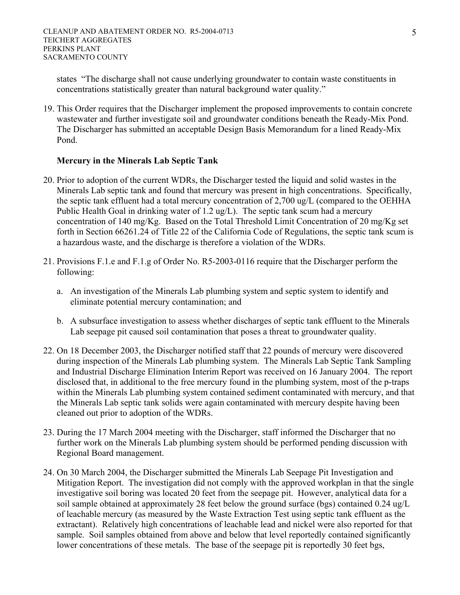states "The discharge shall not cause underlying groundwater to contain waste constituents in concentrations statistically greater than natural background water quality."

19. This Order requires that the Discharger implement the proposed improvements to contain concrete wastewater and further investigate soil and groundwater conditions beneath the Ready-Mix Pond. The Discharger has submitted an acceptable Design Basis Memorandum for a lined Ready-Mix Pond.

# **Mercury in the Minerals Lab Septic Tank**

- 20. Prior to adoption of the current WDRs, the Discharger tested the liquid and solid wastes in the Minerals Lab septic tank and found that mercury was present in high concentrations. Specifically, the septic tank effluent had a total mercury concentration of 2,700 ug/L (compared to the OEHHA Public Health Goal in drinking water of 1.2 ug/L). The septic tank scum had a mercury concentration of 140 mg/Kg. Based on the Total Threshold Limit Concentration of 20 mg/Kg set forth in Section 66261.24 of Title 22 of the California Code of Regulations, the septic tank scum is a hazardous waste, and the discharge is therefore a violation of the WDRs.
- 21. Provisions F.1.e and F.1.g of Order No. R5-2003-0116 require that the Discharger perform the following:
	- a. An investigation of the Minerals Lab plumbing system and septic system to identify and eliminate potential mercury contamination; and
	- b. A subsurface investigation to assess whether discharges of septic tank effluent to the Minerals Lab seepage pit caused soil contamination that poses a threat to groundwater quality.
- 22. On 18 December 2003, the Discharger notified staff that 22 pounds of mercury were discovered during inspection of the Minerals Lab plumbing system. The Minerals Lab Septic Tank Sampling and Industrial Discharge Elimination Interim Report was received on 16 January 2004. The report disclosed that, in additional to the free mercury found in the plumbing system, most of the p-traps within the Minerals Lab plumbing system contained sediment contaminated with mercury, and that the Minerals Lab septic tank solids were again contaminated with mercury despite having been cleaned out prior to adoption of the WDRs.
- 23. During the 17 March 2004 meeting with the Discharger, staff informed the Discharger that no further work on the Minerals Lab plumbing system should be performed pending discussion with Regional Board management.
- 24. On 30 March 2004, the Discharger submitted the Minerals Lab Seepage Pit Investigation and Mitigation Report. The investigation did not comply with the approved workplan in that the single investigative soil boring was located 20 feet from the seepage pit. However, analytical data for a soil sample obtained at approximately 28 feet below the ground surface (bgs) contained 0.24 ug/L of leachable mercury (as measured by the Waste Extraction Test using septic tank effluent as the extractant). Relatively high concentrations of leachable lead and nickel were also reported for that sample. Soil samples obtained from above and below that level reportedly contained significantly lower concentrations of these metals. The base of the seepage pit is reportedly 30 feet bgs,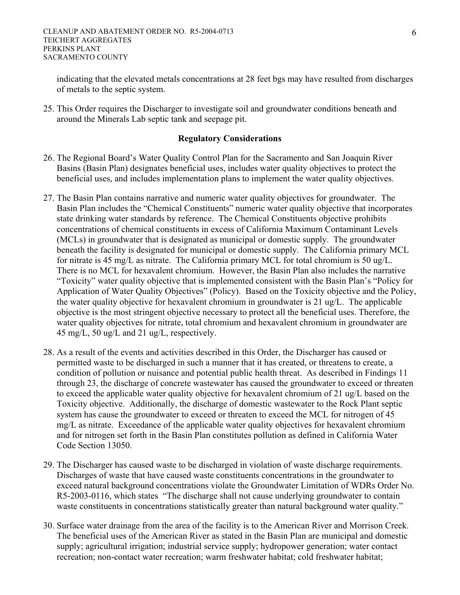indicating that the elevated metals concentrations at 28 feet bgs may have resulted from discharges of metals to the septic system.

25. This Order requires the Discharger to investigate soil and groundwater conditions beneath and around the Minerals Lab septic tank and seepage pit.

## **Regulatory Considerations**

- 26. The Regional Board's Water Quality Control Plan for the Sacramento and San Joaquin River Basins (Basin Plan) designates beneficial uses, includes water quality objectives to protect the beneficial uses, and includes implementation plans to implement the water quality objectives.
- 27. The Basin Plan contains narrative and numeric water quality objectives for groundwater. The Basin Plan includes the "Chemical Constituents" numeric water quality objective that incorporates state drinking water standards by reference. The Chemical Constituents objective prohibits concentrations of chemical constituents in excess of California Maximum Contaminant Levels (MCLs) in groundwater that is designated as municipal or domestic supply. The groundwater beneath the facility is designated for municipal or domestic supply. The California primary MCL for nitrate is 45 mg/L as nitrate. The California primary MCL for total chromium is 50 ug/L. There is no MCL for hexavalent chromium. However, the Basin Plan also includes the narrative "Toxicity" water quality objective that is implemented consistent with the Basin Plan's "Policy for Application of Water Quality Objectives" (Policy). Based on the Toxicity objective and the Policy, the water quality objective for hexavalent chromium in groundwater is 21 ug/L. The applicable objective is the most stringent objective necessary to protect all the beneficial uses. Therefore, the water quality objectives for nitrate, total chromium and hexavalent chromium in groundwater are 45 mg/L, 50 ug/L and 21 ug/L, respectively.
- 28. As a result of the events and activities described in this Order, the Discharger has caused or permitted waste to be discharged in such a manner that it has created, or threatens to create, a condition of pollution or nuisance and potential public health threat. As described in Findings 11 through 23, the discharge of concrete wastewater has caused the groundwater to exceed or threaten to exceed the applicable water quality objective for hexavalent chromium of 21 ug/L based on the Toxicity objective. Additionally, the discharge of domestic wastewater to the Rock Plant septic system has cause the groundwater to exceed or threaten to exceed the MCL for nitrogen of 45 mg/L as nitrate. Exceedance of the applicable water quality objectives for hexavalent chromium and for nitrogen set forth in the Basin Plan constitutes pollution as defined in California Water Code Section 13050.
- 29. The Discharger has caused waste to be discharged in violation of waste discharge requirements. Discharges of waste that have caused waste constituents concentrations in the groundwater to exceed natural background concentrations violate the Groundwater Limitation of WDRs Order No. R5-2003-0116, which states "The discharge shall not cause underlying groundwater to contain waste constituents in concentrations statistically greater than natural background water quality."
- 30. Surface water drainage from the area of the facility is to the American River and Morrison Creek. The beneficial uses of the American River as stated in the Basin Plan are municipal and domestic supply; agricultural irrigation; industrial service supply; hydropower generation; water contact recreation; non-contact water recreation; warm freshwater habitat; cold freshwater habitat;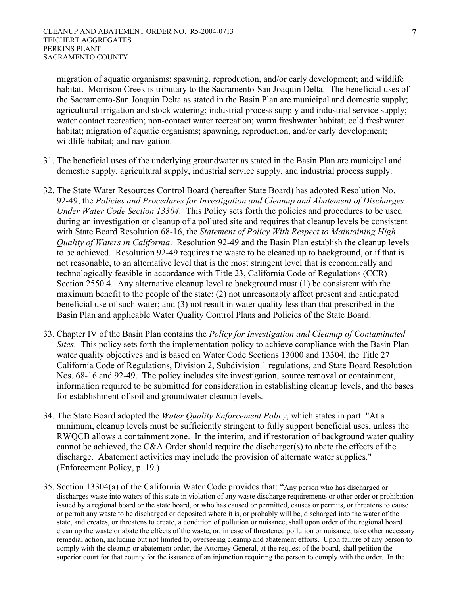migration of aquatic organisms; spawning, reproduction, and/or early development; and wildlife habitat. Morrison Creek is tributary to the Sacramento-San Joaquin Delta. The beneficial uses of the Sacramento-San Joaquin Delta as stated in the Basin Plan are municipal and domestic supply; agricultural irrigation and stock watering; industrial process supply and industrial service supply; water contact recreation; non-contact water recreation; warm freshwater habitat; cold freshwater habitat; migration of aquatic organisms; spawning, reproduction, and/or early development; wildlife habitat; and navigation.

- 31. The beneficial uses of the underlying groundwater as stated in the Basin Plan are municipal and domestic supply, agricultural supply, industrial service supply, and industrial process supply.
- 32. The State Water Resources Control Board (hereafter State Board) has adopted Resolution No. 92-49, the *Policies and Procedures for Investigation and Cleanup and Abatement of Discharges Under Water Code Section 13304*. This Policy sets forth the policies and procedures to be used during an investigation or cleanup of a polluted site and requires that cleanup levels be consistent with State Board Resolution 68-16, the *Statement of Policy With Respect to Maintaining High Quality of Waters in California*. Resolution 92-49 and the Basin Plan establish the cleanup levels to be achieved. Resolution 92-49 requires the waste to be cleaned up to background, or if that is not reasonable, to an alternative level that is the most stringent level that is economically and technologically feasible in accordance with Title 23, California Code of Regulations (CCR) Section 2550.4. Any alternative cleanup level to background must (1) be consistent with the maximum benefit to the people of the state; (2) not unreasonably affect present and anticipated beneficial use of such water; and (3) not result in water quality less than that prescribed in the Basin Plan and applicable Water Quality Control Plans and Policies of the State Board.
- 33. Chapter IV of the Basin Plan contains the *Policy for Investigation and Cleanup of Contaminated Sites*. This policy sets forth the implementation policy to achieve compliance with the Basin Plan water quality objectives and is based on Water Code Sections 13000 and 13304, the Title 27 California Code of Regulations, Division 2, Subdivision 1 regulations, and State Board Resolution Nos. 68-16 and 92-49. The policy includes site investigation, source removal or containment, information required to be submitted for consideration in establishing cleanup levels, and the bases for establishment of soil and groundwater cleanup levels.
- 34. The State Board adopted the *Water Quality Enforcement Policy*, which states in part: "At a minimum, cleanup levels must be sufficiently stringent to fully support beneficial uses, unless the RWQCB allows a containment zone. In the interim, and if restoration of background water quality cannot be achieved, the C&A Order should require the discharger(s) to abate the effects of the discharge. Abatement activities may include the provision of alternate water supplies." (Enforcement Policy, p. 19.)
- 35. Section 13304(a) of the California Water Code provides that: "Any person who has discharged or discharges waste into waters of this state in violation of any waste discharge requirements or other order or prohibition issued by a regional board or the state board, or who has caused or permitted, causes or permits, or threatens to cause or permit any waste to be discharged or deposited where it is, or probably will be, discharged into the water of the state, and creates, or threatens to create, a condition of pollution or nuisance, shall upon order of the regional board clean up the waste or abate the effects of the waste, or, in case of threatened pollution or nuisance, take other necessary remedial action, including but not limited to, overseeing cleanup and abatement efforts. Upon failure of any person to comply with the cleanup or abatement order, the Attorney General, at the request of the board, shall petition the superior court for that county for the issuance of an injunction requiring the person to comply with the order. In the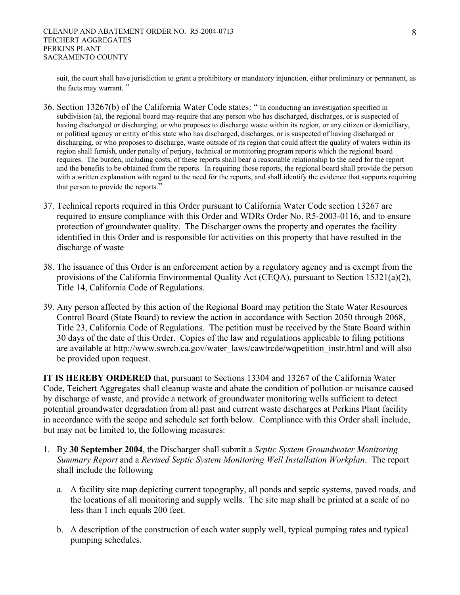suit, the court shall have jurisdiction to grant a prohibitory or mandatory injunction, either preliminary or permanent, as the facts may warrant*."*

- 36. Section 13267(b) of the California Water Code states: " In conducting an investigation specified in subdivision (a), the regional board may require that any person who has discharged, discharges, or is suspected of having discharged or discharging, or who proposes to discharge waste within its region, or any citizen or domiciliary, or political agency or entity of this state who has discharged, discharges, or is suspected of having discharged or discharging, or who proposes to discharge, waste outside of its region that could affect the quality of waters within its region shall furnish, under penalty of perjury, technical or monitoring program reports which the regional board requires. The burden, including costs, of these reports shall bear a reasonable relationship to the need for the report and the benefits to be obtained from the reports. In requiring those reports, the regional board shall provide the person with a written explanation with regard to the need for the reports, and shall identify the evidence that supports requiring that person to provide the reports."
- 37. Technical reports required in this Order pursuant to California Water Code section 13267 are required to ensure compliance with this Order and WDRs Order No. R5-2003-0116, and to ensure protection of groundwater quality. The Discharger owns the property and operates the facility identified in this Order and is responsible for activities on this property that have resulted in the discharge of waste
- 38. The issuance of this Order is an enforcement action by a regulatory agency and is exempt from the provisions of the California Environmental Quality Act (CEQA), pursuant to Section 15321(a)(2), Title 14, California Code of Regulations.
- 39. Any person affected by this action of the Regional Board may petition the State Water Resources Control Board (State Board) to review the action in accordance with Section 2050 through 2068, Title 23, California Code of Regulations. The petition must be received by the State Board within 30 days of the date of this Order. Copies of the law and regulations applicable to filing petitions are available at http://www.swrcb.ca.gov/water\_laws/cawtrcde/wqpetition\_instr.html and will also be provided upon request.

**IT IS HEREBY ORDERED** that, pursuant to Sections 13304 and 13267 of the California Water Code, Teichert Aggregates shall cleanup waste and abate the condition of pollution or nuisance caused by discharge of waste, and provide a network of groundwater monitoring wells sufficient to detect potential groundwater degradation from all past and current waste discharges at Perkins Plant facility in accordance with the scope and schedule set forth below. Compliance with this Order shall include, but may not be limited to, the following measures:

- 1. By **30 September 2004**, the Discharger shall submit a *Septic System Groundwater Monitoring Summary Report* and a *Revised Septic System Monitoring Well Installation Workplan*. The report shall include the following
	- a. A facility site map depicting current topography, all ponds and septic systems, paved roads, and the locations of all monitoring and supply wells. The site map shall be printed at a scale of no less than 1 inch equals 200 feet.
	- b. A description of the construction of each water supply well, typical pumping rates and typical pumping schedules.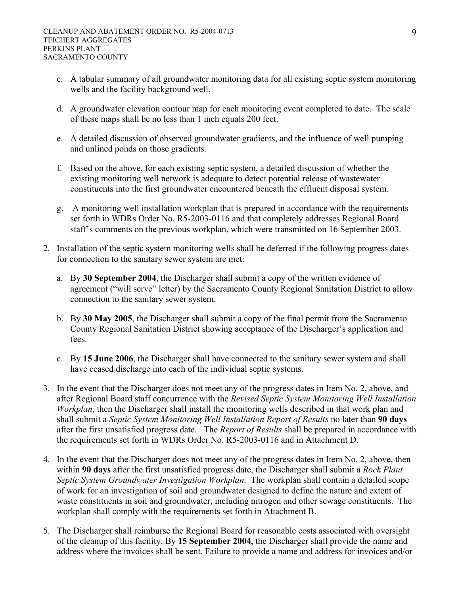- c. A tabular summary of all groundwater monitoring data for all existing septic system monitoring wells and the facility background well.
- d. A groundwater elevation contour map for each monitoring event completed to date. The scale of these maps shall be no less than 1 inch equals 200 feet.
- e. A detailed discussion of observed groundwater gradients, and the influence of well pumping and unlined ponds on those gradients.
- f. Based on the above, for each existing septic system, a detailed discussion of whether the existing monitoring well network is adequate to detect potential release of wastewater constituents into the first groundwater encountered beneath the effluent disposal system.
- g. A monitoring well installation workplan that is prepared in accordance with the requirements set forth in WDRs Order No. R5-2003-0116 and that completely addresses Regional Board staff's comments on the previous workplan, which were transmitted on 16 September 2003.
- 2. Installation of the septic system monitoring wells shall be deferred if the following progress dates for connection to the sanitary sewer system are met:
	- a. By **30 September 2004**, the Discharger shall submit a copy of the written evidence of agreement ("will serve" letter) by the Sacramento County Regional Sanitation District to allow connection to the sanitary sewer system.
	- b. By **30 May 2005**, the Discharger shall submit a copy of the final permit from the Sacramento County Regional Sanitation District showing acceptance of the Discharger's application and fees.
	- c. By **15 June 2006**, the Discharger shall have connected to the sanitary sewer system and shall have ceased discharge into each of the individual septic systems.
- 3. In the event that the Discharger does not meet any of the progress dates in Item No. 2, above, and after Regional Board staff concurrence with the *Revised Septic System Monitoring Well Installation Workplan*, then the Discharger shall install the monitoring wells described in that work plan and shall submit a *Septic System Monitoring Well Installation Report of Results* no later than **90 days** after the first unsatisfied progress date. The *Report of Results* shall be prepared in accordance with the requirements set forth in WDRs Order No. R5-2003-0116 and in Attachment D.
- 4. In the event that the Discharger does not meet any of the progress dates in Item No. 2, above, then within **90 days** after the first unsatisfied progress date, the Discharger shall submit a *Rock Plant Septic System Groundwater Investigation Workplan*. The workplan shall contain a detailed scope of work for an investigation of soil and groundwater designed to define the nature and extent of waste constituents in soil and groundwater, including nitrogen and other sewage constituents. The workplan shall comply with the requirements set forth in Attachment B.
- 5. The Discharger shall reimburse the Regional Board for reasonable costs associated with oversight of the cleanup of this facility. By **15 September 2004**, the Discharger shall provide the name and address where the invoices shall be sent. Failure to provide a name and address for invoices and/or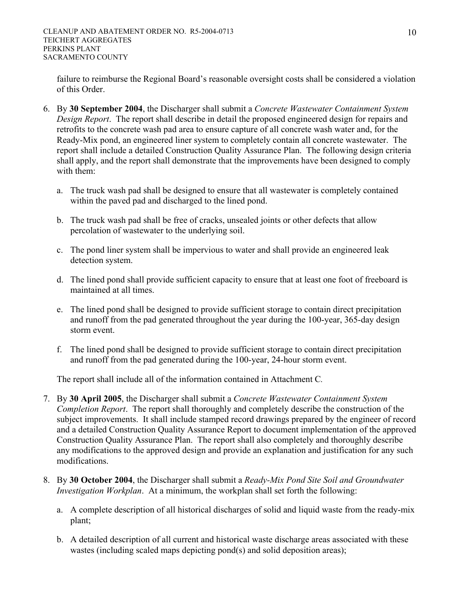failure to reimburse the Regional Board's reasonable oversight costs shall be considered a violation of this Order.

- 6. By **30 September 2004**, the Discharger shall submit a *Concrete Wastewater Containment System Design Report*. The report shall describe in detail the proposed engineered design for repairs and retrofits to the concrete wash pad area to ensure capture of all concrete wash water and, for the Ready-Mix pond, an engineered liner system to completely contain all concrete wastewater. The report shall include a detailed Construction Quality Assurance Plan. The following design criteria shall apply, and the report shall demonstrate that the improvements have been designed to comply with them:
	- a. The truck wash pad shall be designed to ensure that all wastewater is completely contained within the paved pad and discharged to the lined pond.
	- b. The truck wash pad shall be free of cracks, unsealed joints or other defects that allow percolation of wastewater to the underlying soil.
	- c. The pond liner system shall be impervious to water and shall provide an engineered leak detection system.
	- d. The lined pond shall provide sufficient capacity to ensure that at least one foot of freeboard is maintained at all times.
	- e. The lined pond shall be designed to provide sufficient storage to contain direct precipitation and runoff from the pad generated throughout the year during the 100-year, 365-day design storm event.
	- f. The lined pond shall be designed to provide sufficient storage to contain direct precipitation and runoff from the pad generated during the 100-year, 24-hour storm event.

The report shall include all of the information contained in Attachment C*.*

- 7. By **30 April 2005**, the Discharger shall submit a *Concrete Wastewater Containment System Completion Report*. The report shall thoroughly and completely describe the construction of the subject improvements. It shall include stamped record drawings prepared by the engineer of record and a detailed Construction Quality Assurance Report to document implementation of the approved Construction Quality Assurance Plan. The report shall also completely and thoroughly describe any modifications to the approved design and provide an explanation and justification for any such modifications.
- 8. By **30 October 2004**, the Discharger shall submit a *Ready-Mix Pond Site Soil and Groundwater Investigation Workplan*. At a minimum, the workplan shall set forth the following:
	- a. A complete description of all historical discharges of solid and liquid waste from the ready-mix plant;
	- b. A detailed description of all current and historical waste discharge areas associated with these wastes (including scaled maps depicting pond(s) and solid deposition areas);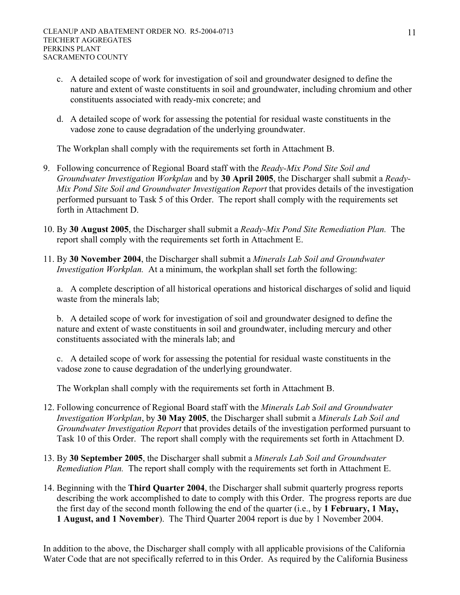- c. A detailed scope of work for investigation of soil and groundwater designed to define the nature and extent of waste constituents in soil and groundwater, including chromium and other constituents associated with ready-mix concrete; and
- d. A detailed scope of work for assessing the potential for residual waste constituents in the vadose zone to cause degradation of the underlying groundwater.

The Workplan shall comply with the requirements set forth in Attachment B.

- 9. Following concurrence of Regional Board staff with the *Ready-Mix Pond Site Soil and Groundwater Investigation Workplan* and by **30 April 2005**, the Discharger shall submit a *Ready-Mix Pond Site Soil and Groundwater Investigation Report* that provides details of the investigation performed pursuant to Task 5 of this Order. The report shall comply with the requirements set forth in Attachment D.
- 10. By **30 August 2005**, the Discharger shall submit a *Ready-Mix Pond Site Remediation Plan.* The report shall comply with the requirements set forth in Attachment E.
- 11. By **30 November 2004**, the Discharger shall submit a *Minerals Lab Soil and Groundwater Investigation Workplan.* At a minimum, the workplan shall set forth the following:

a. A complete description of all historical operations and historical discharges of solid and liquid waste from the minerals lab;

b. A detailed scope of work for investigation of soil and groundwater designed to define the nature and extent of waste constituents in soil and groundwater, including mercury and other constituents associated with the minerals lab; and

c. A detailed scope of work for assessing the potential for residual waste constituents in the vadose zone to cause degradation of the underlying groundwater.

The Workplan shall comply with the requirements set forth in Attachment B.

- 12. Following concurrence of Regional Board staff with the *Minerals Lab Soil and Groundwater Investigation Workplan*, by **30 May 2005**, the Discharger shall submit a *Minerals Lab Soil and Groundwater Investigation Report* that provides details of the investigation performed pursuant to Task 10 of this Order. The report shall comply with the requirements set forth in Attachment D.
- 13. By **30 September 2005**, the Discharger shall submit a *Minerals Lab Soil and Groundwater Remediation Plan.* The report shall comply with the requirements set forth in Attachment E.
- 14. Beginning with the **Third Quarter 2004**, the Discharger shall submit quarterly progress reports describing the work accomplished to date to comply with this Order. The progress reports are due the first day of the second month following the end of the quarter (i.e., by **1 February, 1 May, 1 August, and 1 November**). The Third Quarter 2004 report is due by 1 November 2004.

In addition to the above, the Discharger shall comply with all applicable provisions of the California Water Code that are not specifically referred to in this Order. As required by the California Business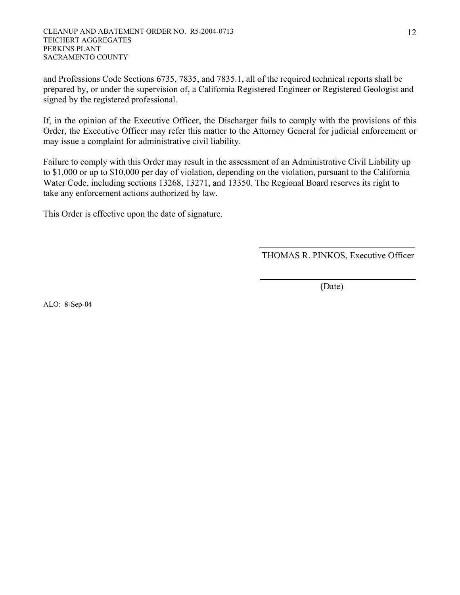and Professions Code Sections 6735, 7835, and 7835.1, all of the required technical reports shall be prepared by, or under the supervision of, a California Registered Engineer or Registered Geologist and signed by the registered professional.

If, in the opinion of the Executive Officer, the Discharger fails to comply with the provisions of this Order, the Executive Officer may refer this matter to the Attorney General for judicial enforcement or may issue a complaint for administrative civil liability.

Failure to comply with this Order may result in the assessment of an Administrative Civil Liability up to \$1,000 or up to \$10,000 per day of violation, depending on the violation, pursuant to the California Water Code, including sections 13268, 13271, and 13350. The Regional Board reserves its right to take any enforcement actions authorized by law.

This Order is effective upon the date of signature.

THOMAS R. PINKOS, Executive Officer

(Date)

ALO: 8-Sep-04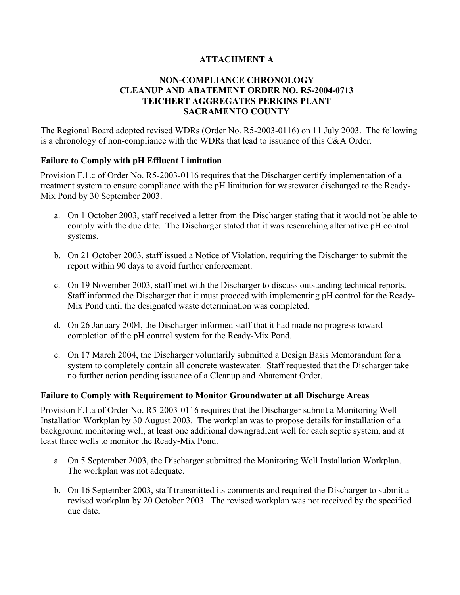# **ATTACHMENT A**

# **NON-COMPLIANCE CHRONOLOGY CLEANUP AND ABATEMENT ORDER NO. R5-2004-0713 TEICHERT AGGREGATES PERKINS PLANT SACRAMENTO COUNTY**

The Regional Board adopted revised WDRs (Order No. R5-2003-0116) on 11 July 2003. The following is a chronology of non-compliance with the WDRs that lead to issuance of this C&A Order.

# **Failure to Comply with pH Effluent Limitation**

Provision F.1.c of Order No. R5-2003-0116 requires that the Discharger certify implementation of a treatment system to ensure compliance with the pH limitation for wastewater discharged to the Ready-Mix Pond by 30 September 2003.

- a. On 1 October 2003, staff received a letter from the Discharger stating that it would not be able to comply with the due date. The Discharger stated that it was researching alternative pH control systems.
- b. On 21 October 2003, staff issued a Notice of Violation, requiring the Discharger to submit the report within 90 days to avoid further enforcement.
- c. On 19 November 2003, staff met with the Discharger to discuss outstanding technical reports. Staff informed the Discharger that it must proceed with implementing pH control for the Ready-Mix Pond until the designated waste determination was completed.
- d. On 26 January 2004, the Discharger informed staff that it had made no progress toward completion of the pH control system for the Ready-Mix Pond.
- e. On 17 March 2004, the Discharger voluntarily submitted a Design Basis Memorandum for a system to completely contain all concrete wastewater. Staff requested that the Discharger take no further action pending issuance of a Cleanup and Abatement Order.

## **Failure to Comply with Requirement to Monitor Groundwater at all Discharge Areas**

Provision F.1.a of Order No. R5-2003-0116 requires that the Discharger submit a Monitoring Well Installation Workplan by 30 August 2003. The workplan was to propose details for installation of a background monitoring well, at least one additional downgradient well for each septic system, and at least three wells to monitor the Ready-Mix Pond.

- a. On 5 September 2003, the Discharger submitted the Monitoring Well Installation Workplan. The workplan was not adequate.
- b. On 16 September 2003, staff transmitted its comments and required the Discharger to submit a revised workplan by 20 October 2003. The revised workplan was not received by the specified due date.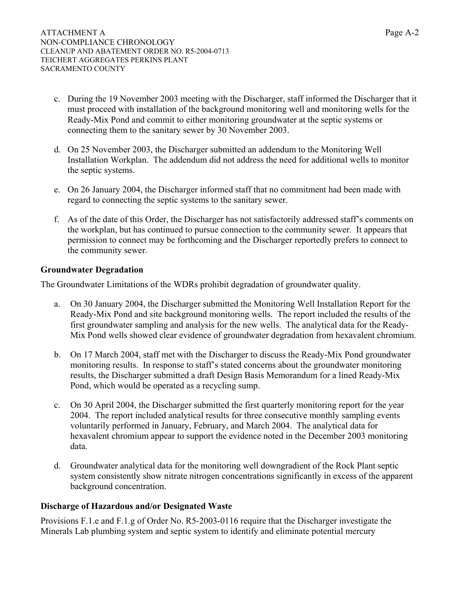- c. During the 19 November 2003 meeting with the Discharger, staff informed the Discharger that it must proceed with installation of the background monitoring well and monitoring wells for the Ready-Mix Pond and commit to either monitoring groundwater at the septic systems or connecting them to the sanitary sewer by 30 November 2003.
- d. On 25 November 2003, the Discharger submitted an addendum to the Monitoring Well Installation Workplan. The addendum did not address the need for additional wells to monitor the septic systems.
- e. On 26 January 2004, the Discharger informed staff that no commitment had been made with regard to connecting the septic systems to the sanitary sewer.
- f. As of the date of this Order, the Discharger has not satisfactorily addressed staff's comments on the workplan, but has continued to pursue connection to the community sewer. It appears that permission to connect may be forthcoming and the Discharger reportedly prefers to connect to the community sewer.

# **Groundwater Degradation**

The Groundwater Limitations of the WDRs prohibit degradation of groundwater quality.

- a. On 30 January 2004, the Discharger submitted the Monitoring Well Installation Report for the Ready-Mix Pond and site background monitoring wells. The report included the results of the first groundwater sampling and analysis for the new wells. The analytical data for the Ready-Mix Pond wells showed clear evidence of groundwater degradation from hexavalent chromium.
- b. On 17 March 2004, staff met with the Discharger to discuss the Ready-Mix Pond groundwater monitoring results. In response to staff's stated concerns about the groundwater monitoring results, the Discharger submitted a draft Design Basis Memorandum for a lined Ready-Mix Pond, which would be operated as a recycling sump.
- c. On 30 April 2004, the Discharger submitted the first quarterly monitoring report for the year 2004. The report included analytical results for three consecutive monthly sampling events voluntarily performed in January, February, and March 2004. The analytical data for hexavalent chromium appear to support the evidence noted in the December 2003 monitoring data.
- d. Groundwater analytical data for the monitoring well downgradient of the Rock Plant septic system consistently show nitrate nitrogen concentrations significantly in excess of the apparent background concentration.

## **Discharge of Hazardous and/or Designated Waste**

Provisions F.1.e and F.1.g of Order No. R5-2003-0116 require that the Discharger investigate the Minerals Lab plumbing system and septic system to identify and eliminate potential mercury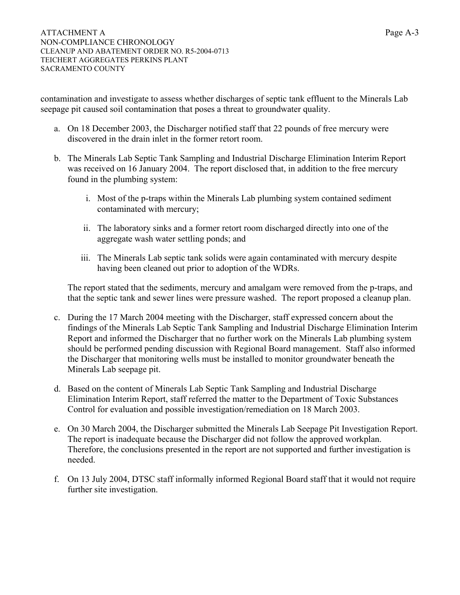contamination and investigate to assess whether discharges of septic tank effluent to the Minerals Lab seepage pit caused soil contamination that poses a threat to groundwater quality.

- a. On 18 December 2003, the Discharger notified staff that 22 pounds of free mercury were discovered in the drain inlet in the former retort room.
- b. The Minerals Lab Septic Tank Sampling and Industrial Discharge Elimination Interim Report was received on 16 January 2004. The report disclosed that, in addition to the free mercury found in the plumbing system:
	- i. Most of the p-traps within the Minerals Lab plumbing system contained sediment contaminated with mercury;
	- ii. The laboratory sinks and a former retort room discharged directly into one of the aggregate wash water settling ponds; and
	- iii. The Minerals Lab septic tank solids were again contaminated with mercury despite having been cleaned out prior to adoption of the WDRs.

The report stated that the sediments, mercury and amalgam were removed from the p-traps, and that the septic tank and sewer lines were pressure washed. The report proposed a cleanup plan.

- c. During the 17 March 2004 meeting with the Discharger, staff expressed concern about the findings of the Minerals Lab Septic Tank Sampling and Industrial Discharge Elimination Interim Report and informed the Discharger that no further work on the Minerals Lab plumbing system should be performed pending discussion with Regional Board management. Staff also informed the Discharger that monitoring wells must be installed to monitor groundwater beneath the Minerals Lab seepage pit.
- d. Based on the content of Minerals Lab Septic Tank Sampling and Industrial Discharge Elimination Interim Report, staff referred the matter to the Department of Toxic Substances Control for evaluation and possible investigation/remediation on 18 March 2003.
- e. On 30 March 2004, the Discharger submitted the Minerals Lab Seepage Pit Investigation Report. The report is inadequate because the Discharger did not follow the approved workplan. Therefore, the conclusions presented in the report are not supported and further investigation is needed.
- f. On 13 July 2004, DTSC staff informally informed Regional Board staff that it would not require further site investigation.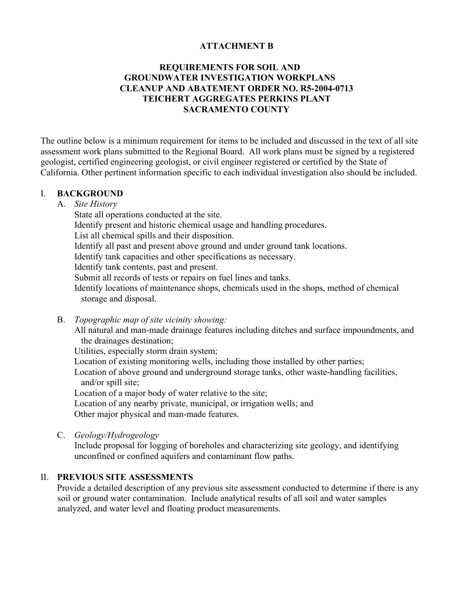# **ATTACHMENT B**

# **REQUIREMENTS FOR SOIL AND GROUNDWATER INVESTIGATION WORKPLANS CLEANUP AND ABATEMENT ORDER NO. R5-2004-0713 TEICHERT AGGREGATES PERKINS PLANT SACRAMENTO COUNTY**

The outline below is a minimum requirement for items to be included and discussed in the text of all site assessment work plans submitted to the Regional Board. All work plans must be signed by a registered geologist, certified engineering geologist, or civil engineer registered or certified by the State of California. Other pertinent information specific to each individual investigation also should be included.

## I. **BACKGROUND**

A. *Site History*

State all operations conducted at the site.

Identify present and historic chemical usage and handling procedures.

List all chemical spills and their disposition.

Identify all past and present above ground and under ground tank locations.

Identify tank capacities and other specifications as necessary.

Identify tank contents, past and present.

Submit all records of tests or repairs on fuel lines and tanks.

 Identify locations of maintenance shops, chemicals used in the shops, method of chemical storage and disposal.

B. *Topographic map of site vicinity showing:*

 All natural and man-made drainage features including ditches and surface impoundments, and the drainages destination;

Utilities, especially storm drain system;

Location of existing monitoring wells, including those installed by other parties;

 Location of above ground and underground storage tanks, other waste-handling facilities, and/or spill site;

Location of a major body of water relative to the site;

 Location of any nearby private, municipal, or irrigation wells; and Other major physical and man-made features.

C. *Geology/Hydrogeology*

 Include proposal for logging of boreholes and characterizing site geology, and identifying unconfined or confined aquifers and contaminant flow paths.

## II. **PREVIOUS SITE ASSESSMENTS**

 Provide a detailed description of any previous site assessment conducted to determine if there is any soil or ground water contamination. Include analytical results of all soil and water samples analyzed, and water level and floating product measurements.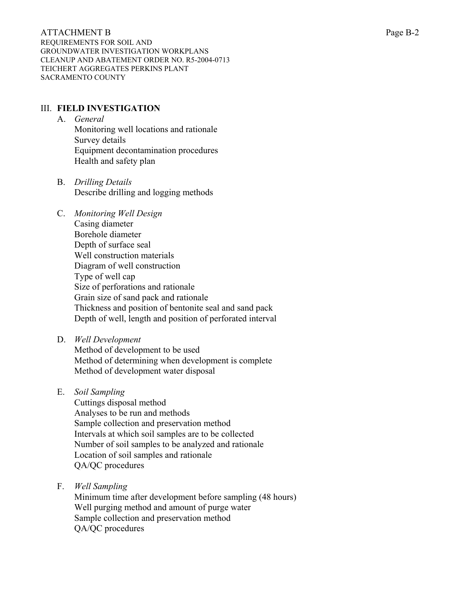ATTACHMENT B Page B-2 REQUIREMENTS FOR SOIL AND GROUNDWATER INVESTIGATION WORKPLANS CLEANUP AND ABATEMENT ORDER NO. R5-2004-0713 TEICHERT AGGREGATES PERKINS PLANT SACRAMENTO COUNTY

# III. **FIELD INVESTIGATION**

- A. *General* Monitoring well locations and rationale Survey details Equipment decontamination procedures Health and safety plan
- B. *Drilling Details* Describe drilling and logging methods
- C. *Monitoring Well Design* Casing diameter Borehole diameter Depth of surface seal Well construction materials Diagram of well construction Type of well cap Size of perforations and rationale Grain size of sand pack and rationale Thickness and position of bentonite seal and sand pack Depth of well, length and position of perforated interval
- D. *Well Development*

 Method of development to be used Method of determining when development is complete Method of development water disposal

E. *Soil Sampling*

 Cuttings disposal method Analyses to be run and methods Sample collection and preservation method Intervals at which soil samples are to be collected Number of soil samples to be analyzed and rationale Location of soil samples and rationale QA/QC procedures

F. *Well Sampling*

 Minimum time after development before sampling (48 hours) Well purging method and amount of purge water Sample collection and preservation method QA/QC procedures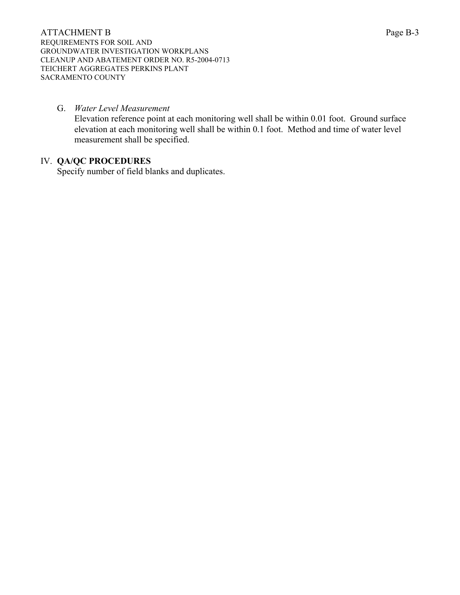## G. *Water Level Measurement*

 Elevation reference point at each monitoring well shall be within 0.01 foot. Ground surface elevation at each monitoring well shall be within 0.1 foot. Method and time of water level measurement shall be specified.

# IV. **QA/QC PROCEDURES**

Specify number of field blanks and duplicates.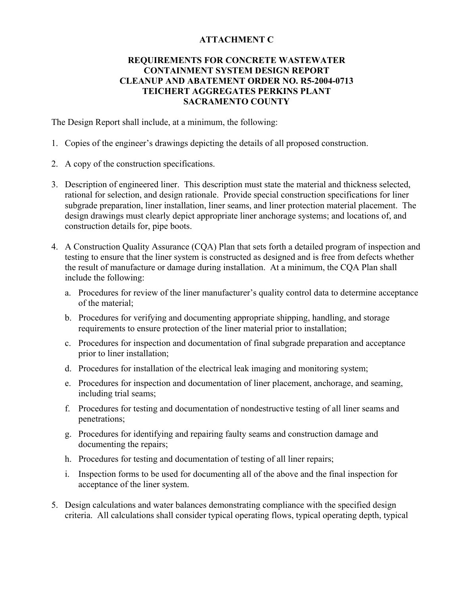# **ATTACHMENT C**

# **REQUIREMENTS FOR CONCRETE WASTEWATER CONTAINMENT SYSTEM DESIGN REPORT CLEANUP AND ABATEMENT ORDER NO. R5-2004-0713 TEICHERT AGGREGATES PERKINS PLANT SACRAMENTO COUNTY**

The Design Report shall include, at a minimum, the following:

- 1. Copies of the engineer's drawings depicting the details of all proposed construction.
- 2. A copy of the construction specifications.
- 3. Description of engineered liner. This description must state the material and thickness selected, rational for selection, and design rationale. Provide special construction specifications for liner subgrade preparation, liner installation, liner seams, and liner protection material placement. The design drawings must clearly depict appropriate liner anchorage systems; and locations of, and construction details for, pipe boots.
- 4. A Construction Quality Assurance (CQA) Plan that sets forth a detailed program of inspection and testing to ensure that the liner system is constructed as designed and is free from defects whether the result of manufacture or damage during installation. At a minimum, the CQA Plan shall include the following:
	- a. Procedures for review of the liner manufacturer's quality control data to determine acceptance of the material;
	- b. Procedures for verifying and documenting appropriate shipping, handling, and storage requirements to ensure protection of the liner material prior to installation;
	- c. Procedures for inspection and documentation of final subgrade preparation and acceptance prior to liner installation;
	- d. Procedures for installation of the electrical leak imaging and monitoring system;
	- e. Procedures for inspection and documentation of liner placement, anchorage, and seaming, including trial seams;
	- f. Procedures for testing and documentation of nondestructive testing of all liner seams and penetrations;
	- g. Procedures for identifying and repairing faulty seams and construction damage and documenting the repairs;
	- h. Procedures for testing and documentation of testing of all liner repairs;
	- i. Inspection forms to be used for documenting all of the above and the final inspection for acceptance of the liner system.
- 5. Design calculations and water balances demonstrating compliance with the specified design criteria. All calculations shall consider typical operating flows, typical operating depth, typical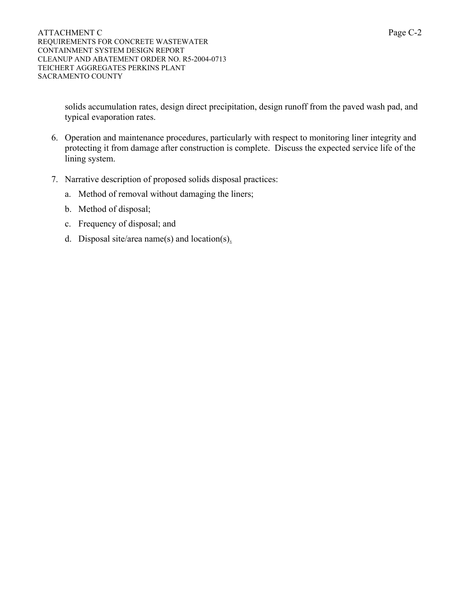solids accumulation rates, design direct precipitation, design runoff from the paved wash pad, and typical evaporation rates.

- 6. Operation and maintenance procedures, particularly with respect to monitoring liner integrity and protecting it from damage after construction is complete. Discuss the expected service life of the lining system.
- 7. Narrative description of proposed solids disposal practices:
	- a. Method of removal without damaging the liners;
	- b. Method of disposal;
	- c. Frequency of disposal; and
	- d. Disposal site/area name(s) and location(s).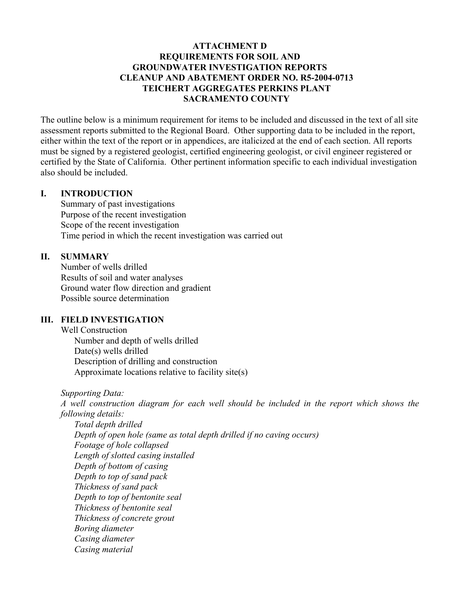# **ATTACHMENT D REQUIREMENTS FOR SOIL AND GROUNDWATER INVESTIGATION REPORTS CLEANUP AND ABATEMENT ORDER NO. R5-2004-0713 TEICHERT AGGREGATES PERKINS PLANT SACRAMENTO COUNTY**

The outline below is a minimum requirement for items to be included and discussed in the text of all site assessment reports submitted to the Regional Board. Other supporting data to be included in the report, either within the text of the report or in appendices, are italicized at the end of each section. All reports must be signed by a registered geologist, certified engineering geologist, or civil engineer registered or certified by the State of California. Other pertinent information specific to each individual investigation also should be included.

#### **I. INTRODUCTION**

 Summary of past investigations Purpose of the recent investigation Scope of the recent investigation Time period in which the recent investigation was carried out

## **II. SUMMARY**

 Number of wells drilled Results of soil and water analyses Ground water flow direction and gradient Possible source determination

# **III. FIELD INVESTIGATION**

 Well Construction Number and depth of wells drilled Date(s) wells drilled Description of drilling and construction Approximate locations relative to facility site(s)

*Supporting Data:* 

 *A well construction diagram for each well should be included in the report which shows the following details:* 

 *Total depth drilled Depth of open hole (same as total depth drilled if no caving occurs) Footage of hole collapsed Length of slotted casing installed Depth of bottom of casing Depth to top of sand pack Thickness of sand pack Depth to top of bentonite seal Thickness of bentonite seal Thickness of concrete grout Boring diameter Casing diameter Casing material*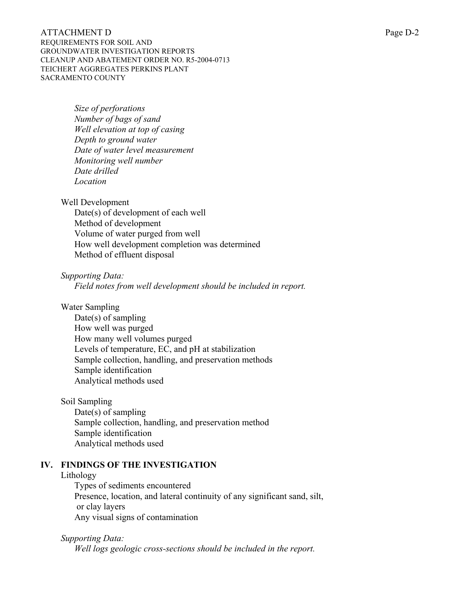# ATTACHMENT D Page D-2 REQUIREMENTS FOR SOIL AND

GROUNDWATER INVESTIGATION REPORTS CLEANUP AND ABATEMENT ORDER NO. R5-2004-0713 TEICHERT AGGREGATES PERKINS PLANT SACRAMENTO COUNTY

> *Size of perforations Number of bags of sand Well elevation at top of casing Depth to ground water Date of water level measurement Monitoring well number Date drilled Location*

Well Development

 Date(s) of development of each well Method of development Volume of water purged from well How well development completion was determined Method of effluent disposal

*Supporting Data:* 

 *Field notes from well development should be included in report.*

Water Sampling

 Date(s) of sampling How well was purged How many well volumes purged Levels of temperature, EC, and pH at stabilization Sample collection, handling, and preservation methods Sample identification Analytical methods used

Soil Sampling

 Date(s) of sampling Sample collection, handling, and preservation method Sample identification Analytical methods used

# **IV. FINDINGS OF THE INVESTIGATION**

# Lithology

 Types of sediments encountered Presence, location, and lateral continuity of any significant sand, silt, or clay layers Any visual signs of contamination

*Supporting Data:* 

 *Well logs geologic cross-sections should be included in the report.*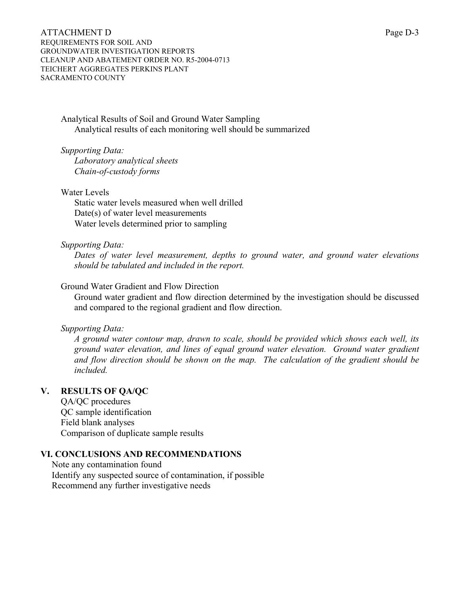ATTACHMENT D Page D-3 REQUIREMENTS FOR SOIL AND GROUNDWATER INVESTIGATION REPORTS CLEANUP AND ABATEMENT ORDER NO. R5-2004-0713 TEICHERT AGGREGATES PERKINS PLANT SACRAMENTO COUNTY

 Analytical Results of Soil and Ground Water Sampling Analytical results of each monitoring well should be summarized

*Supporting Data:* 

 *Laboratory analytical sheets Chain-of-custody forms* 

Water Levels

 Static water levels measured when well drilled Date(s) of water level measurements Water levels determined prior to sampling

#### *Supporting Data:*

 *Dates of water level measurement, depths to ground water, and ground water elevations should be tabulated and included in the report.*

## Ground Water Gradient and Flow Direction

 Ground water gradient and flow direction determined by the investigation should be discussed and compared to the regional gradient and flow direction.

#### *Supporting Data:*

 *A ground water contour map, drawn to scale, should be provided which shows each well, its ground water elevation, and lines of equal ground water elevation. Ground water gradient and flow direction should be shown on the map. The calculation of the gradient should be included.*

## **V. RESULTS OF QA/QC**

 QA/QC procedures QC sample identification Field blank analyses Comparison of duplicate sample results

### **VI. CONCLUSIONS AND RECOMMENDATIONS**

 Note any contamination found Identify any suspected source of contamination, if possible Recommend any further investigative needs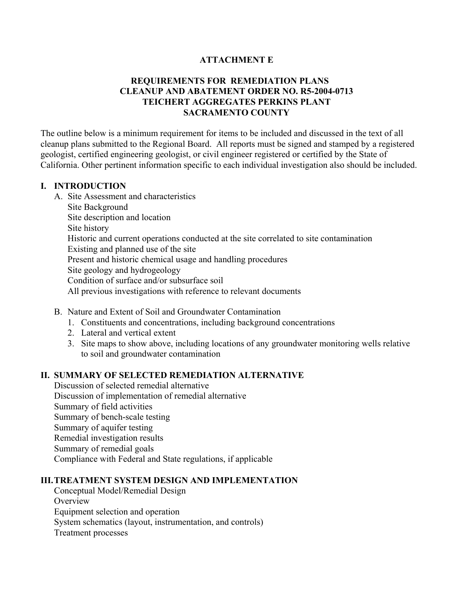# **ATTACHMENT E**

# **REQUIREMENTS FOR REMEDIATION PLANS CLEANUP AND ABATEMENT ORDER NO. R5-2004-0713 TEICHERT AGGREGATES PERKINS PLANT SACRAMENTO COUNTY**

The outline below is a minimum requirement for items to be included and discussed in the text of all cleanup plans submitted to the Regional Board. All reports must be signed and stamped by a registered geologist, certified engineering geologist, or civil engineer registered or certified by the State of California. Other pertinent information specific to each individual investigation also should be included.

# **I. INTRODUCTION**

- A. Site Assessment and characteristics Site Background Site description and location Site history Historic and current operations conducted at the site correlated to site contamination Existing and planned use of the site Present and historic chemical usage and handling procedures Site geology and hydrogeology Condition of surface and/or subsurface soil All previous investigations with reference to relevant documents
- B. Nature and Extent of Soil and Groundwater Contamination
	- 1. Constituents and concentrations, including background concentrations
	- 2. Lateral and vertical extent
	- 3. Site maps to show above, including locations of any groundwater monitoring wells relative to soil and groundwater contamination

## **II. SUMMARY OF SELECTED REMEDIATION ALTERNATIVE**

 Discussion of selected remedial alternative Discussion of implementation of remedial alternative Summary of field activities Summary of bench-scale testing Summary of aquifer testing Remedial investigation results Summary of remedial goals Compliance with Federal and State regulations, if applicable

## **III. TREATMENT SYSTEM DESIGN AND IMPLEMENTATION**

 Conceptual Model/Remedial Design **Overview**  Equipment selection and operation System schematics (layout, instrumentation, and controls) Treatment processes